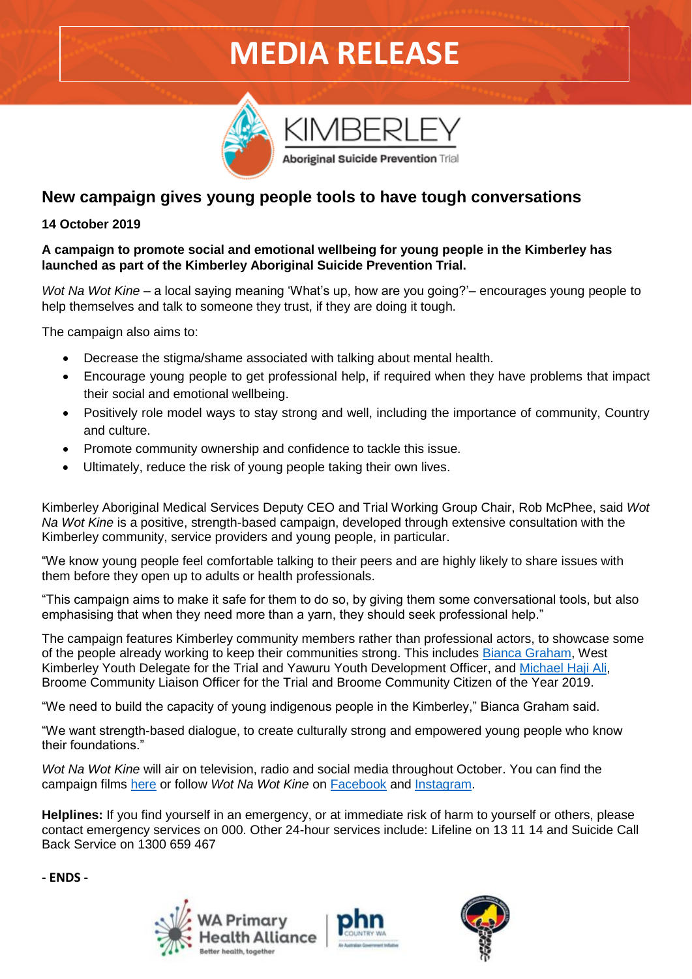# **MEDIA RELEASE**

Aboriginal Suicide Prevention Trial



# **New campaign gives young people tools to have tough conversations**

## **14 October 2019**

#### **A campaign to promote social and emotional wellbeing for young people in the Kimberley has launched as part of the Kimberley Aboriginal Suicide Prevention Trial.**

*Wot Na Wot Kine* – a local saying meaning 'What's up, how are you going?'– encourages young people to help themselves and talk to someone they trust, if they are doing it tough.

The campaign also aims to:

- Decrease the stigma/shame associated with talking about mental health.
- Encourage young people to get professional help, if required when they have problems that impact their social and emotional wellbeing.
- Positively role model ways to stay strong and well, including the importance of community, Country and culture.
- Promote community ownership and confidence to tackle this issue.
- Ultimately, reduce the risk of young people taking their own lives.

Kimberley Aboriginal Medical Services Deputy CEO and Trial Working Group Chair, Rob McPhee, said *Wot Na Wot Kine* is a positive, strength-based campaign, developed through extensive consultation with the Kimberley community, service providers and young people, in particular.

"We know young people feel comfortable talking to their peers and are highly likely to share issues with them before they open up to adults or health professionals.

"This campaign aims to make it safe for them to do so, by giving them some conversational tools, but also emphasising that when they need more than a yarn, they should seek professional help."

The campaign features Kimberley community members rather than professional actors, to showcase some of the people already working to keep their communities strong. This includes [Bianca Graham,](https://www.wapha.org.au/wot-na-wot-kine/bianca-graham-profile/) West Kimberley Youth Delegate for the Trial and Yawuru Youth Development Officer, and [Michael Haji Ali,](https://www.wapha.org.au/wot-na-wot-kine/michael-haji-ali-profile/) Broome Community Liaison Officer for the Trial and Broome Community Citizen of the Year 2019.

"We need to build the capacity of young indigenous people in the Kimberley," Bianca Graham said.

"We want strength-based dialogue, to create culturally strong and empowered young people who know their foundations."

*Wot Na Wot Kine* will air on television, radio and social media throughout October. You can find the campaign films [here](https://www.wapha.org.au/wot-na-wot-kine/) or follow *Wot Na Wot Kine* on [Facebook](https://www.facebook.com/Wot-Na-Wot-Kine-102083801165847/) and [Instagram.](https://www.instagram.com/wotnawotkine/?hl=en)

**Helplines:** If you find yourself in an emergency, or at immediate risk of harm to yourself or others, please contact emergency services on 000. Other 24-hour services include: Lifeline on 13 11 14 and Suicide Call Back Service on 1300 659 467

**- ENDS -**